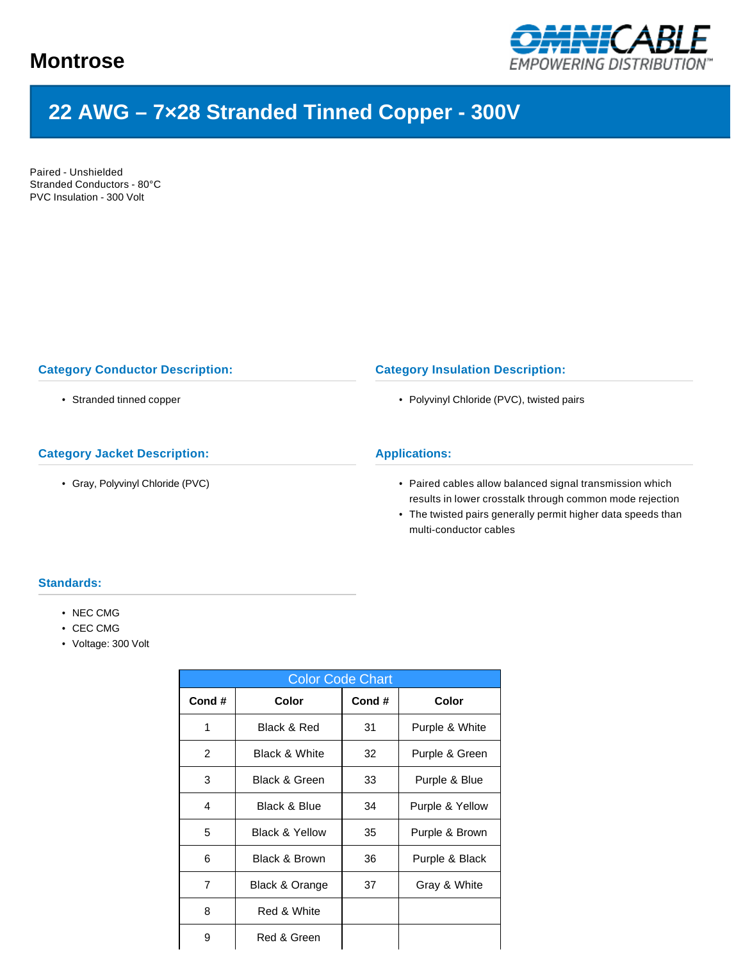

# **22 AWG – 7×28 Stranded Tinned Copper - 300V**

Paired - Unshielded Stranded Conductors - 80°C PVC Insulation - 300 Volt

## **Category Conductor Description:**

• Stranded tinned copper

## **Category Jacket Description:**

• Gray, Polyvinyl Chloride (PVC)

#### **Category Insulation Description:**

• Polyvinyl Chloride (PVC), twisted pairs

## **Applications:**

- Paired cables allow balanced signal transmission which results in lower crosstalk through common mode rejection
- The twisted pairs generally permit higher data speeds than multi-conductor cables

### **Standards:**

- NEC CMG
- CEC CMG
- Voltage: 300 Volt

| <b>Color Code Chart</b> |                           |       |                 |  |  |  |  |  |  |
|-------------------------|---------------------------|-------|-----------------|--|--|--|--|--|--|
| Cond#                   | Color                     | Cond# | Color           |  |  |  |  |  |  |
| 1                       | Black & Red               | 31    | Purple & White  |  |  |  |  |  |  |
| 2                       | <b>Black &amp; White</b>  | 32    | Purple & Green  |  |  |  |  |  |  |
| 3                       | <b>Black &amp; Green</b>  | 33    | Purple & Blue   |  |  |  |  |  |  |
| 4                       | <b>Black &amp; Blue</b>   | 34    | Purple & Yellow |  |  |  |  |  |  |
| 5                       | <b>Black &amp; Yellow</b> | 35    | Purple & Brown  |  |  |  |  |  |  |
| 6                       | Black & Brown             | 36    | Purple & Black  |  |  |  |  |  |  |
| 7                       | Black & Orange            | 37    | Gray & White    |  |  |  |  |  |  |
| 8                       | Red & White               |       |                 |  |  |  |  |  |  |
| 9                       | Red & Green               |       |                 |  |  |  |  |  |  |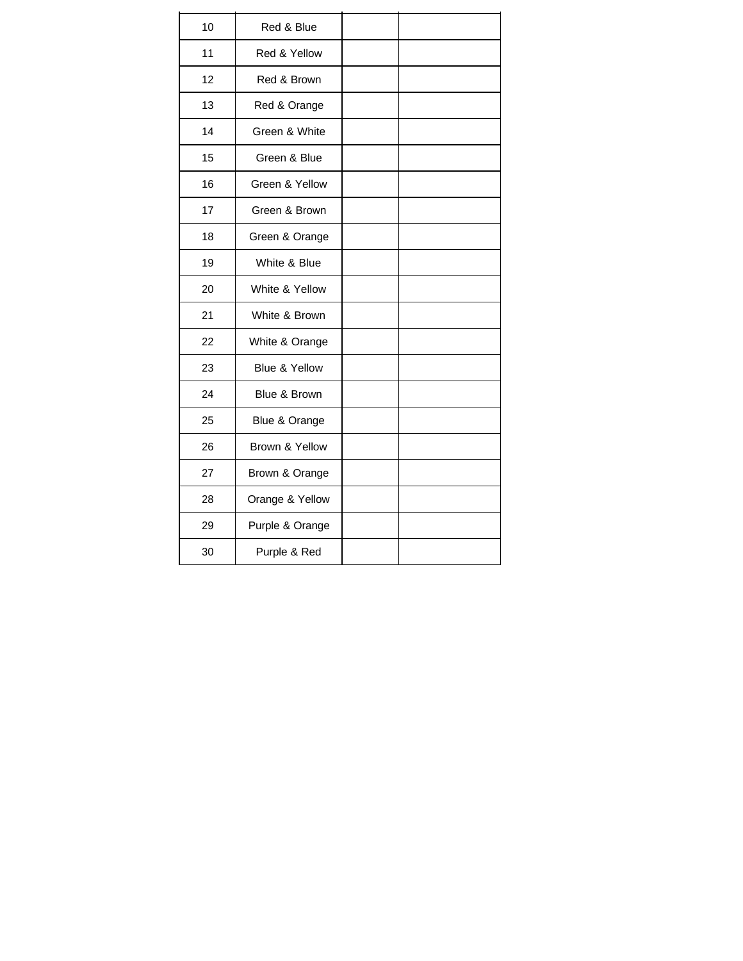| 10 | Red & Blue      |  |
|----|-----------------|--|
| 11 | Red & Yellow    |  |
| 12 | Red & Brown     |  |
| 13 | Red & Orange    |  |
| 14 | Green & White   |  |
| 15 | Green & Blue    |  |
| 16 | Green & Yellow  |  |
| 17 | Green & Brown   |  |
| 18 | Green & Orange  |  |
| 19 | White & Blue    |  |
| 20 | White & Yellow  |  |
| 21 | White & Brown   |  |
| 22 | White & Orange  |  |
| 23 | Blue & Yellow   |  |
| 24 | Blue & Brown    |  |
| 25 | Blue & Orange   |  |
| 26 | Brown & Yellow  |  |
| 27 | Brown & Orange  |  |
| 28 | Orange & Yellow |  |
| 29 | Purple & Orange |  |
| 30 | Purple & Red    |  |